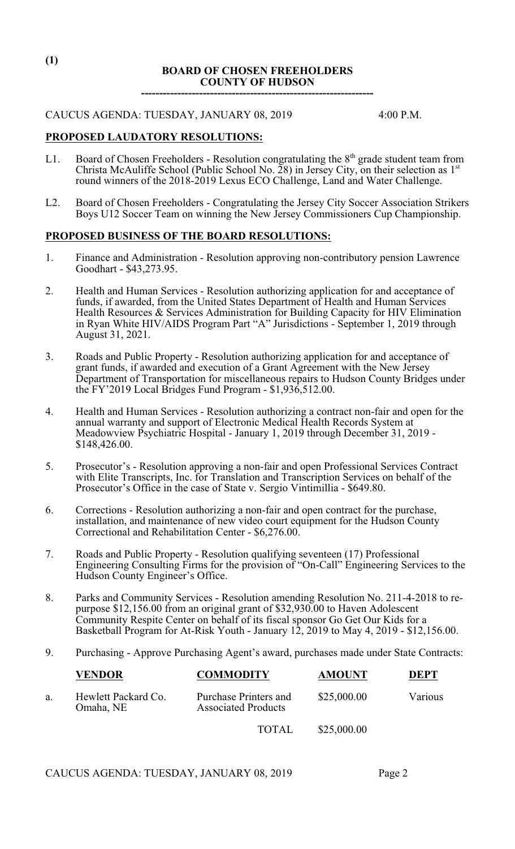# **BOARD OF CHOSEN FREEHOLDERS COUNTY OF HUDSON ----------------------------------------------------------------**

### CAUCUS AGENDA: TUESDAY, JANUARY 08, 2019 4:00 P.M.

# **PROPOSED LAUDATORY RESOLUTIONS:**

- L1. Board of Chosen Freeholders Resolution congratulating the  $8<sup>th</sup>$  grade student team from Christa McAuliffe School (Public School No. 28) in Jersey City, on their selection as  $1<sup>st</sup>$ round winners of the 2018-2019 Lexus ECO Challenge, Land and Water Challenge.
- L2. Board of Chosen Freeholders Congratulating the Jersey City Soccer Association Strikers Boys U12 Soccer Team on winning the New Jersey Commissioners Cup Championship.

#### **PROPOSED BUSINESS OF THE BOARD RESOLUTIONS:**

- 1. Finance and Administration Resolution approving non-contributory pension Lawrence Goodhart - \$43,273.95.
- 2. Health and Human Services Resolution authorizing application for and acceptance of funds, if awarded, from the United States Department of Health and Human Services Health Resources & Services Administration for Building Capacity for HIV Elimination in Ryan White HIV/AIDS Program Part "A" Jurisdictions - September 1, 2019 through August 31, 2021.
- 3. Roads and Public Property Resolution authorizing application for and acceptance of grant funds, if awarded and execution of a Grant Agreement with the New Jersey Department of Transportation for miscellaneous repairs to Hudson County Bridges under the  $FY'2019$  Local Bridges Fund Program - \$1,936,512.00.
- 4. Health and Human Services Resolution authorizing a contract non-fair and open for the annual warranty and support of Electronic Medical Health Records System at Meadowview Psychiatric Hospital - January 1, 2019 through December 31, 2019 - \$148,426.00.
- 5. Prosecutor's Resolution approving a non-fair and open Professional Services Contract with Elite Transcripts, Inc. for Translation and Transcription Services on behalf of the Prosecutor's Office in the case of State v. Sergio Vintimillia - \$649.80.
- 6. Corrections Resolution authorizing a non-fair and open contract for the purchase, installation, and maintenance of new video court equipment for the Hudson County Correctional and Rehabilitation Center - \$6,276.00.
- 7. Roads and Public Property Resolution qualifying seventeen (17) Professional Engineering Consulting Firms for the provision of "On-Call" Engineering Services to the Hudson County Engineer's Office.
- 8. Parks and Community Services Resolution amending Resolution No. 211-4-2018 to repurpose \$12,156.00 from an original grant of \$32,930.00 to Haven Adolescent Community Respite Center on behalf of its fiscal sponsor Go Get Our Kids for a Basketball Program for At-Risk Youth - January 12, 2019 to May 4, 2019 - \$12,156.00.
- 9. Purchasing Approve Purchasing Agent's award, purchases made under State Contracts:

|    | <b>VENDOR</b>                    | <b>COMMODITY</b>                                    | <b>AMOUNT</b> | <b>DEPT</b> |
|----|----------------------------------|-----------------------------------------------------|---------------|-------------|
| a. | Hewlett Packard Co.<br>Omaha, NE | Purchase Printers and<br><b>Associated Products</b> | \$25,000.00   | Various     |
|    |                                  | <b>TOTAL</b>                                        | \$25,000.00   |             |

CAUCUS AGENDA: TUESDAY, JANUARY 08, 2019 Page 2